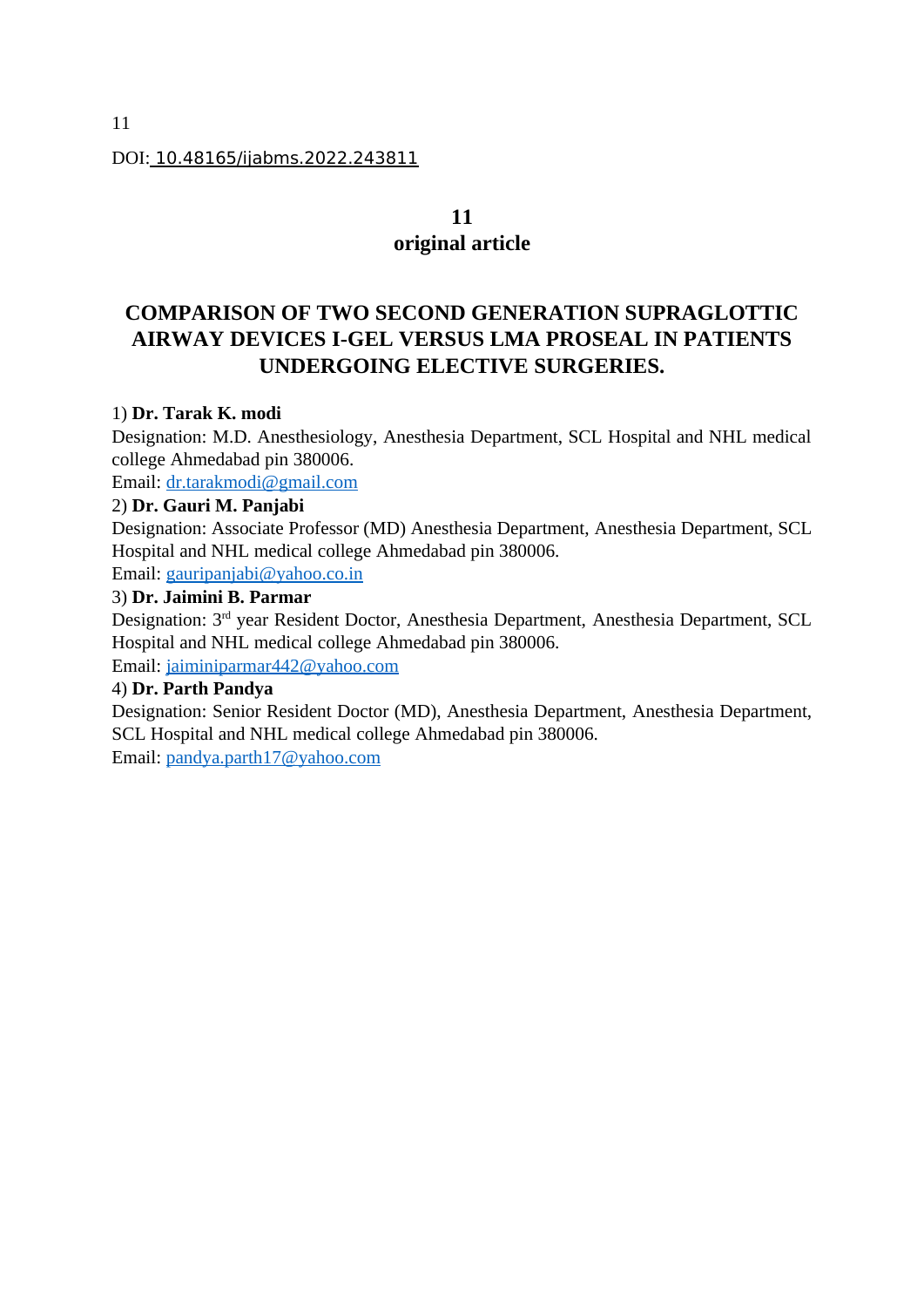#### DOI: 10.48165/ijabms.2022.243811

# **11**

# **original article**

# **COMPARISON OF TWO SECOND GENERATION SUPRAGLOTTIC AIRWAY DEVICES I-GEL VERSUS LMA PROSEAL IN PATIENTS UNDERGOING ELECTIVE SURGERIES.**

## 1) **Dr. Tarak K. modi**

Designation: M.D. Anesthesiology, Anesthesia Department, SCL Hospital and NHL medical college Ahmedabad pin 380006.

Email: [dr.tarakmodi@gmail.com](mailto:dr.tarakmodi@gmail.com)

#### 2) **Dr. Gauri M. Panjabi**

Designation: Associate Professor (MD) Anesthesia Department, Anesthesia Department, SCL Hospital and NHL medical college Ahmedabad pin 380006.

Email: [gauripanjabi@yahoo.co.in](mailto:gauripanjabi@yahoo.co.in)

# 3) **Dr. Jaimini B. Parmar**

Designation: 3rd year Resident Doctor, Anesthesia Department, Anesthesia Department, SCL Hospital and NHL medical college Ahmedabad pin 380006. Email: [jaiminiparmar442@yahoo.com](mailto:jaiminiparmar442@yahoo.com)

## 4) **Dr. Parth Pandya**

Designation: Senior Resident Doctor (MD), Anesthesia Department, Anesthesia Department, SCL Hospital and NHL medical college Ahmedabad pin 380006.

Email: [pandya.parth17@yahoo.com](mailto:pandya.parth17@yahoo.com)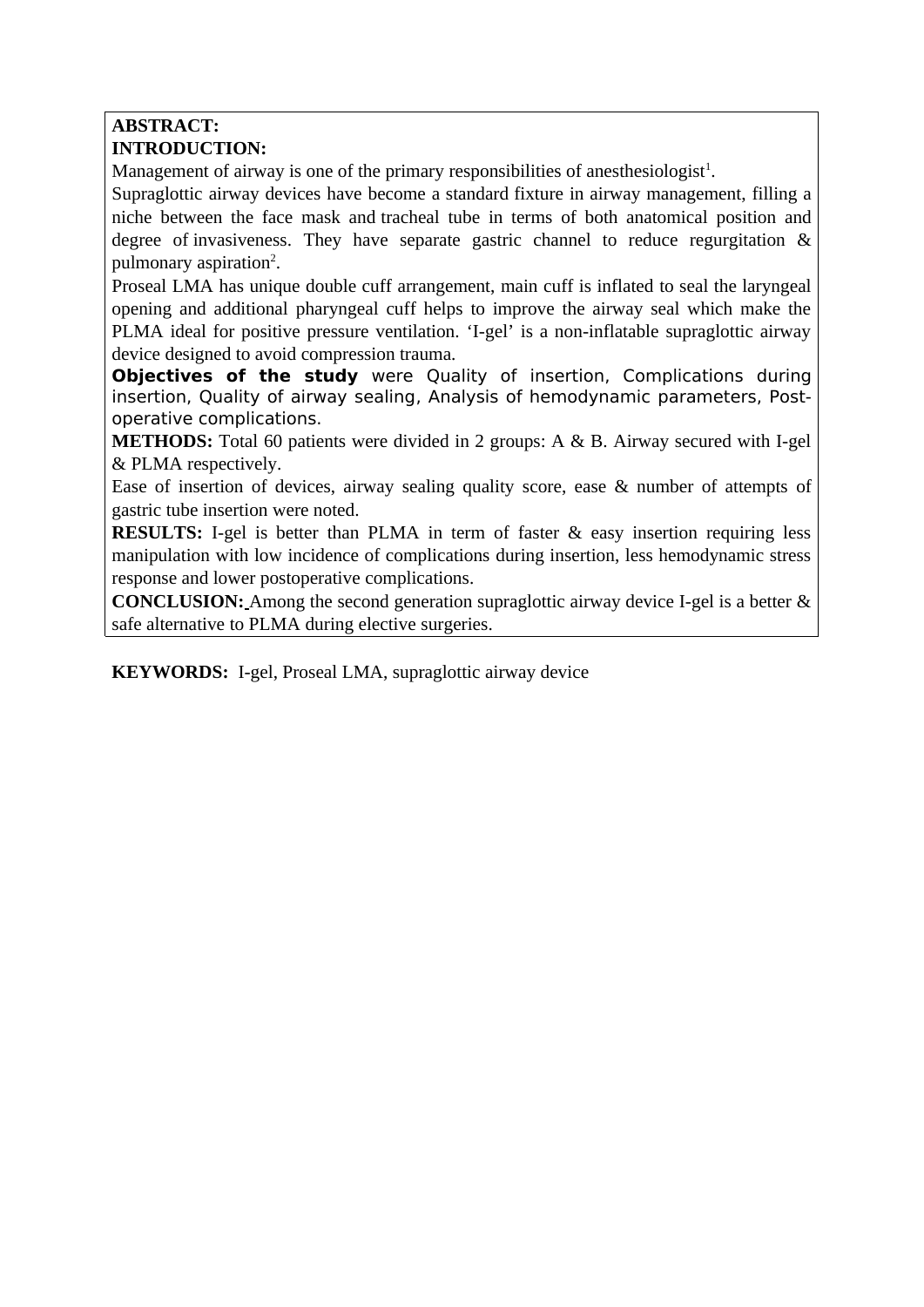## **ABSTRACT: INTRODUCTION:**

Management of airway is one of the primary responsibilities of anesthesiologist<sup>1</sup>.

Supraglottic airway devices have become a standard fixture in airway management, filling a niche between the face mask and tracheal tube in terms of both anatomical position and degree of invasiveness. They have separate gastric channel to reduce regurgitation & pulmonary aspiration<sup>2</sup>.

Proseal LMA has unique double cuff arrangement, main cuff is inflated to seal the laryngeal opening and additional pharyngeal cuff helps to improve the airway seal which make the PLMA ideal for positive pressure ventilation. 'I-gel' is a non-inflatable supraglottic airway device designed to avoid compression trauma.

**Objectives of the study** were Quality of insertion, Complications during insertion, Quality of airway sealing, Analysis of hemodynamic parameters, Postoperative complications.

**METHODS:** Total 60 patients were divided in 2 groups: A & B. Airway secured with I-gel & PLMA respectively.

Ease of insertion of devices, airway sealing quality score, ease & number of attempts of gastric tube insertion were noted.

**RESULTS:** I-gel is better than PLMA in term of faster & easy insertion requiring less manipulation with low incidence of complications during insertion, less hemodynamic stress response and lower postoperative complications.

**CONCLUSION:** Among the second generation supraglottic airway device I-gel is a better & safe alternative to PLMA during elective surgeries.

**KEYWORDS:** I-gel, Proseal LMA, supraglottic airway device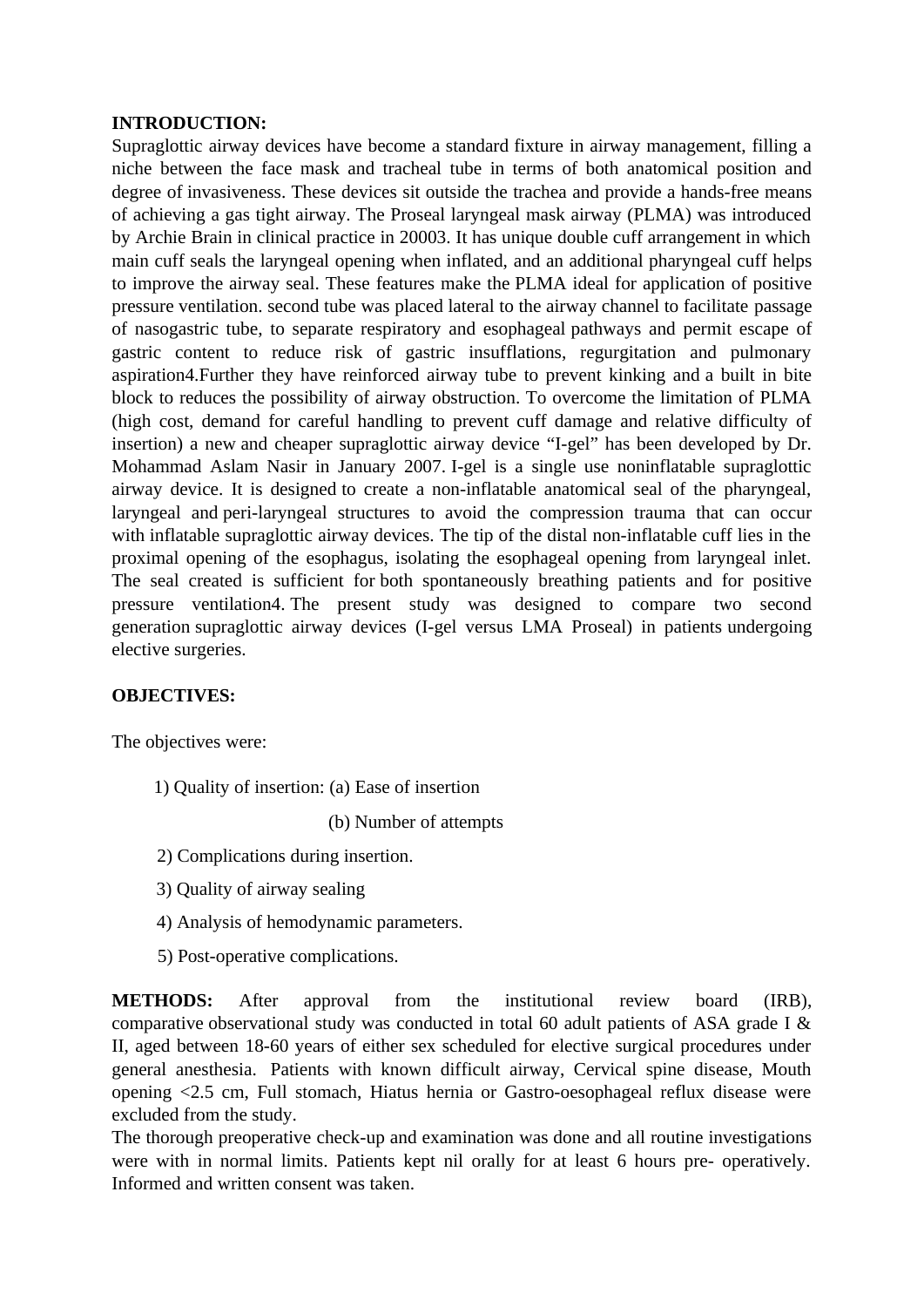#### **INTRODUCTION:**

Supraglottic airway devices have become a standard fixture in airway management, filling a niche between the face mask and tracheal tube in terms of both anatomical position and degree of invasiveness. These devices sit outside the trachea and provide a hands-free means of achieving a gas tight airway. The Proseal laryngeal mask airway (PLMA) was introduced by Archie Brain in clinical practice in 20003. It has unique double cuff arrangement in which main cuff seals the laryngeal opening when inflated, and an additional pharyngeal cuff helps to improve the airway seal. These features make the PLMA ideal for application of positive pressure ventilation. second tube was placed lateral to the airway channel to facilitate passage of nasogastric tube, to separate respiratory and esophageal pathways and permit escape of gastric content to reduce risk of gastric insufflations, regurgitation and pulmonary aspiration4.Further they have reinforced airway tube to prevent kinking and a built in bite block to reduces the possibility of airway obstruction. To overcome the limitation of PLMA (high cost, demand for careful handling to prevent cuff damage and relative difficulty of insertion) a new and cheaper supraglottic airway device "I-gel" has been developed by Dr. Mohammad Aslam Nasir in January 2007. I-gel is a single use noninflatable supraglottic airway device. It is designed to create a non-inflatable anatomical seal of the pharyngeal, laryngeal and peri-laryngeal structures to avoid the compression trauma that can occur with inflatable supraglottic airway devices. The tip of the distal non-inflatable cuff lies in the proximal opening of the esophagus, isolating the esophageal opening from laryngeal inlet. The seal created is sufficient for both spontaneously breathing patients and for positive pressure ventilation4. The present study was designed to compare two second generation supraglottic airway devices (I-gel versus LMA Proseal) in patients undergoing elective surgeries.

#### **OBJECTIVES:**

The objectives were:

1) Quality of insertion: (a) Ease of insertion

(b) Number of attempts

- 2) Complications during insertion.
- 3) Quality of airway sealing
- 4) Analysis of hemodynamic parameters.
- 5) Post-operative complications.

**METHODS:** After approval from the institutional review board (IRB), comparative observational study was conducted in total 60 adult patients of ASA grade I & II, aged between 18-60 years of either sex scheduled for elective surgical procedures under general anesthesia. Patients with known difficult airway, Cervical spine disease, Mouth opening <2.5 cm, Full stomach, Hiatus hernia or Gastro-oesophageal reflux disease were excluded from the study.

The thorough preoperative check-up and examination was done and all routine investigations were with in normal limits. Patients kept nil orally for at least 6 hours pre- operatively. Informed and written consent was taken.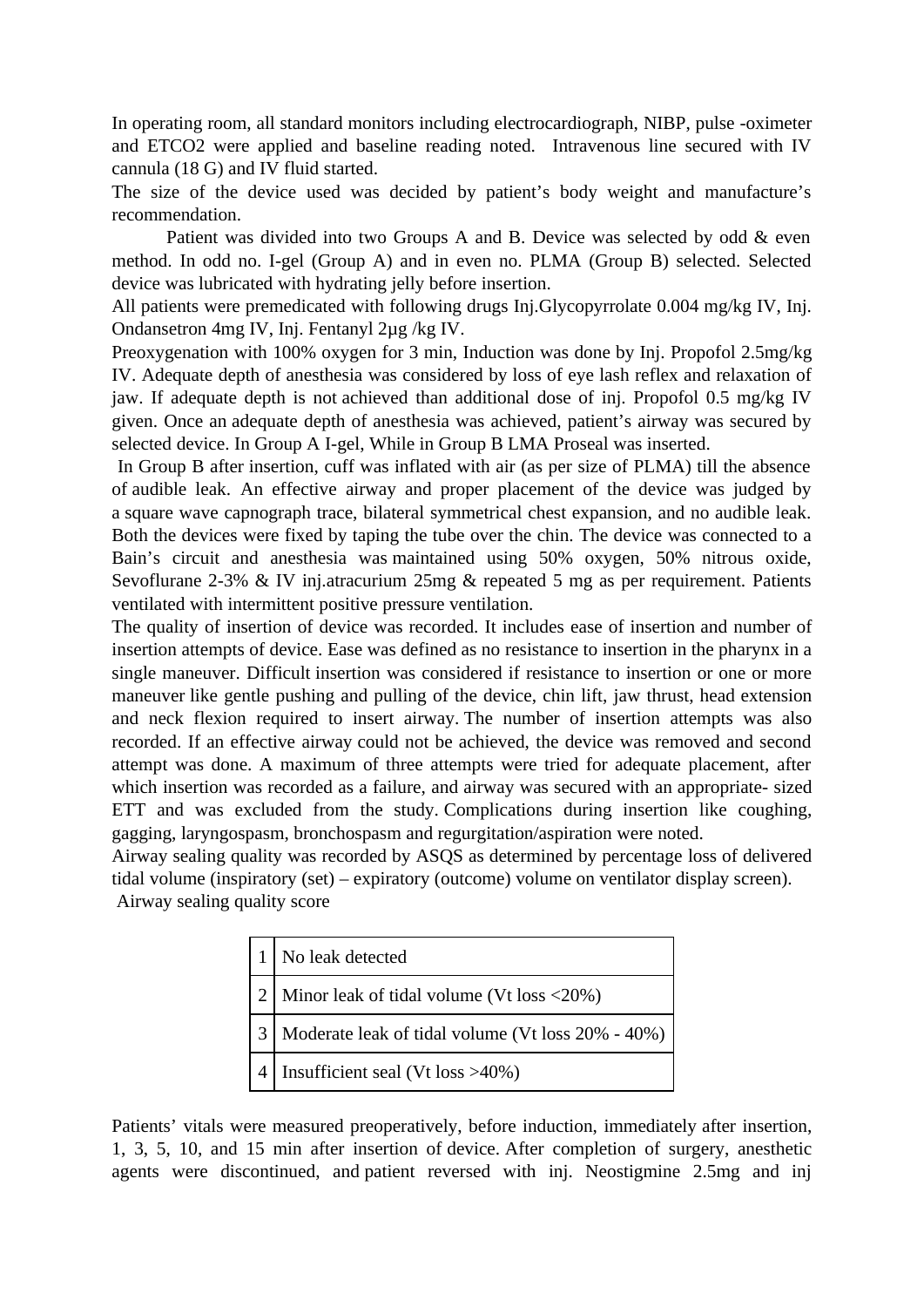In operating room, all standard monitors including electrocardiograph, NIBP, pulse -oximeter and ETCO2 were applied and baseline reading noted. Intravenous line secured with IV cannula (18 G) and IV fluid started.

The size of the device used was decided by patient's body weight and manufacture's recommendation.

 Patient was divided into two Groups A and B. Device was selected by odd & even method. In odd no. I-gel (Group A) and in even no. PLMA (Group B) selected. Selected device was lubricated with hydrating jelly before insertion.

All patients were premedicated with following drugs Inj.Glycopyrrolate 0.004 mg/kg IV, Inj. Ondansetron 4mg IV, Inj. Fentanyl 2µg /kg IV.

Preoxygenation with 100% oxygen for 3 min, Induction was done by Inj. Propofol 2.5mg/kg IV. Adequate depth of anesthesia was considered by loss of eye lash reflex and relaxation of jaw. If adequate depth is not achieved than additional dose of inj. Propofol 0.5 mg/kg IV given. Once an adequate depth of anesthesia was achieved, patient's airway was secured by selected device. In Group A I-gel, While in Group B LMA Proseal was inserted.

In Group B after insertion, cuff was inflated with air (as per size of PLMA) till the absence of audible leak. An effective airway and proper placement of the device was judged by a square wave capnograph trace, bilateral symmetrical chest expansion, and no audible leak. Both the devices were fixed by taping the tube over the chin. The device was connected to a Bain's circuit and anesthesia was maintained using 50% oxygen, 50% nitrous oxide, Sevoflurane 2-3% & IV inj.atracurium 25mg & repeated 5 mg as per requirement. Patients ventilated with intermittent positive pressure ventilation.

The quality of insertion of device was recorded. It includes ease of insertion and number of insertion attempts of device. Ease was defined as no resistance to insertion in the pharynx in a single maneuver. Difficult insertion was considered if resistance to insertion or one or more maneuver like gentle pushing and pulling of the device, chin lift, jaw thrust, head extension and neck flexion required to insert airway. The number of insertion attempts was also recorded. If an effective airway could not be achieved, the device was removed and second attempt was done. A maximum of three attempts were tried for adequate placement, after which insertion was recorded as a failure, and airway was secured with an appropriate- sized ETT and was excluded from the study. Complications during insertion like coughing, gagging, laryngospasm, bronchospasm and regurgitation/aspiration were noted.

Airway sealing quality was recorded by ASQS as determined by percentage loss of delivered tidal volume (inspiratory (set) – expiratory (outcome) volume on ventilator display screen). Airway sealing quality score

| No leak detected                                  |  |
|---------------------------------------------------|--|
| 2   Minor leak of tidal volume (Vt loss <20%)     |  |
| Moderate leak of tidal volume (Vt loss 20% - 40%) |  |
| Insufficient seal (Vt loss >40%)                  |  |

Patients' vitals were measured preoperatively, before induction, immediately after insertion, 1, 3, 5, 10, and 15 min after insertion of device. After completion of surgery, anesthetic agents were discontinued, and patient reversed with inj. Neostigmine 2.5mg and inj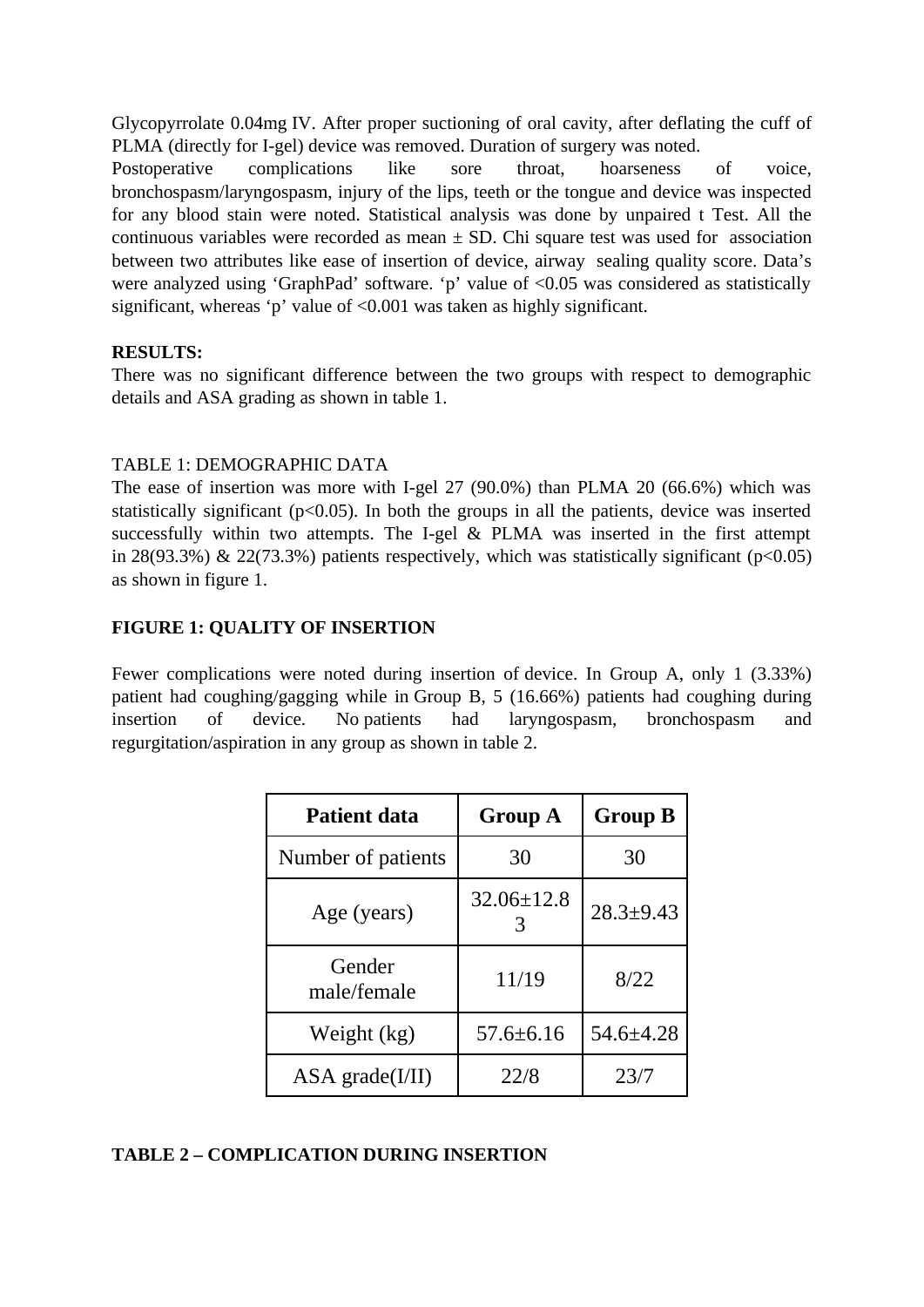Glycopyrrolate 0.04mg IV. After proper suctioning of oral cavity, after deflating the cuff of PLMA (directly for I-gel) device was removed. Duration of surgery was noted.

Postoperative complications like sore throat, hoarseness of voice, bronchospasm/laryngospasm, injury of the lips, teeth or the tongue and device was inspected for any blood stain were noted. Statistical analysis was done by unpaired t Test. All the continuous variables were recorded as mean  $\pm$  SD. Chi square test was used for association between two attributes like ease of insertion of device, airway sealing quality score. Data's were analyzed using 'GraphPad' software. 'p' value of <0.05 was considered as statistically significant, whereas 'p' value of <0.001 was taken as highly significant.

## **RESULTS:**

There was no significant difference between the two groups with respect to demographic details and ASA grading as shown in table 1.

## TABLE 1: DEMOGRAPHIC DATA

The ease of insertion was more with I-gel 27 (90.0%) than PLMA 20 (66.6%) which was statistically significant ( $p$ <0.05). In both the groups in all the patients, device was inserted successfully within two attempts. The I-gel & PLMA was inserted in the first attempt in 28(93.3%) & 22(73.3%) patients respectively, which was statistically significant ( $p$ <0.05) as shown in figure 1.

# **FIGURE 1: QUALITY OF INSERTION**

Fewer complications were noted during insertion of device. In Group A, only 1 (3.33%) patient had coughing/gagging while in Group B, 5 (16.66%) patients had coughing during insertion of device. No patients had laryngospasm, bronchospasm and regurgitation/aspiration in any group as shown in table 2.

| <b>Patient data</b>       | <b>Group A</b>  | <b>Group B</b>  |
|---------------------------|-----------------|-----------------|
| Number of patients        | 30              | 30              |
| Age (years)               | 32.06±12.8      | $28.3 \pm 9.43$ |
| Gender<br>male/female     | 11/19           | 8/22            |
| Weight (kg)               | $57.6 \pm 6.16$ | 54.6±4.28       |
| $ASA\,\text{grade}(I/II)$ | 22/8            | 23/7            |

## **TABLE 2 – COMPLICATION DURING INSERTION**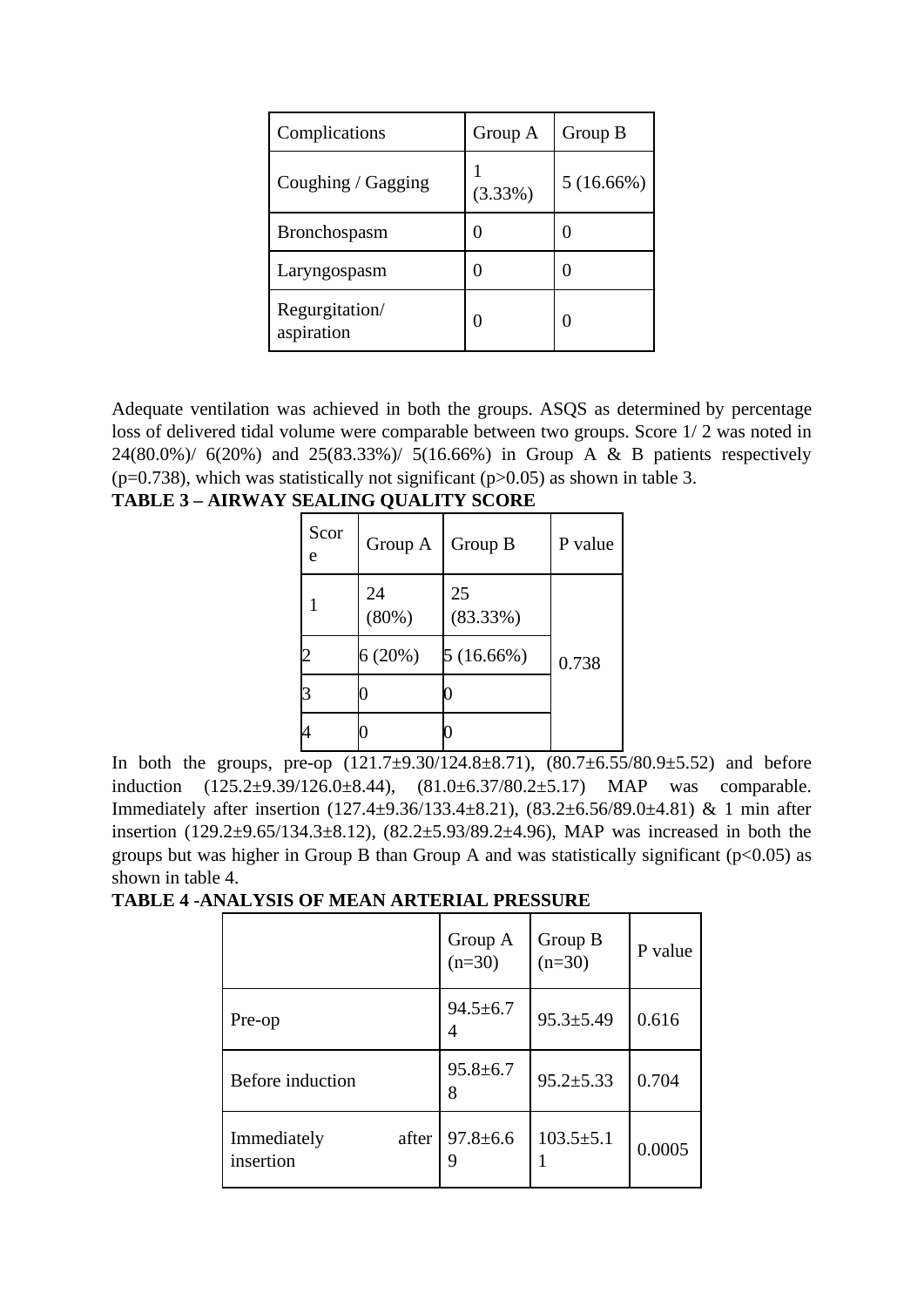| Complications                | Group A | Group B   |
|------------------------------|---------|-----------|
| Coughing / Gagging           | (3.33%) | 5(16.66%) |
| Bronchospasm                 | 0       |           |
| Laryngospasm                 | 0       |           |
| Regurgitation/<br>aspiration | 0       |           |

Adequate ventilation was achieved in both the groups. ASQS as determined by percentage loss of delivered tidal volume were comparable between two groups. Score 1/ 2 was noted in 24(80.0%)/ 6(20%) and 25(83.33%)/ 5(16.66%) in Group A & B patients respectively ( $p=0.738$ ), which was statistically not significant ( $p>0.05$ ) as shown in table 3.

| Scor<br>e | Group A     | Group B        | P value |
|-----------|-------------|----------------|---------|
|           | 24<br>(80%) | 25<br>(83.33%) |         |
|           | 6(20%)      | 5(16.66%)      | 0.738   |
| З         |             |                |         |
|           |             |                |         |

In both the groups, pre-op  $(121.7\pm 9.30/124.8\pm 8.71)$ ,  $(80.7\pm 6.55/80.9\pm 5.52)$  and before induction (125.2±9.39/126.0±8.44), (81.0±6.37/80.2±5.17) MAP was comparable. Immediately after insertion (127.4±9.36/133.4±8.21), (83.2±6.56/89.0±4.81) & 1 min after insertion (129.2±9.65/134.3±8.12), (82.2±5.93/89.2±4.96), MAP was increased in both the groups but was higher in Group B than Group A and was statistically significant ( $p$ <0.05) as shown in table 4.

**TABLE 4 -ANALYSIS OF MEAN ARTERIAL PRESSURE**

|                                   | Group A<br>$(n=30)$ | Group B<br>$(n=30)$ | P value |
|-----------------------------------|---------------------|---------------------|---------|
| Pre-op                            | $94.5 \pm 6.7$<br>4 | $95.3 \pm 5.49$     | 0.616   |
| Before induction                  | $95.8 \pm 6.7$<br>8 | $95.2 \pm 5.33$     | 0.704   |
| after<br>Immediately<br>insertion | $97.8 \pm 6.6$<br>9 | $103.5 \pm 5.1$     | 0.0005  |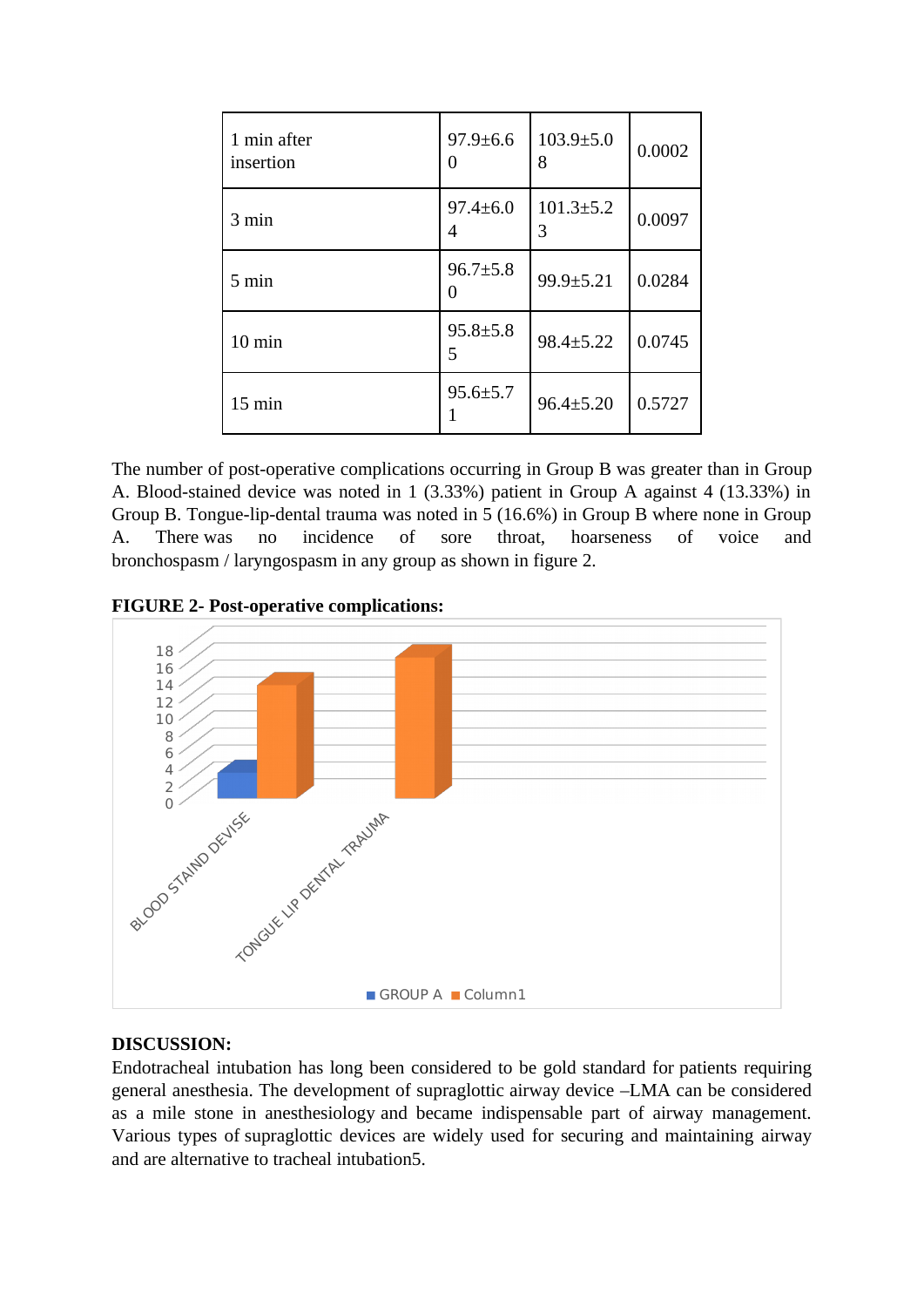| 1 min after<br>insertion | $97.9 \pm 6.6$<br>0 | $103.9 \pm 5.0$<br>8 | 0.0002 |
|--------------------------|---------------------|----------------------|--------|
| 3 min                    | $97.4 \pm 6.0$<br>4 | $101.3 \pm 5.2$<br>3 | 0.0097 |
| $5 \text{ min}$          | $96.7 \pm 5.8$<br>O | 99.9±5.21            | 0.0284 |
| $10 \text{ min}$         | $95.8 \pm 5.8$<br>5 | 98.4±5.22            | 0.0745 |
| $15 \text{ min}$         | $95.6 \pm 5.7$      | $96.4 \pm 5.20$      | 0.5727 |

The number of post-operative complications occurring in Group B was greater than in Group A. Blood-stained device was noted in 1 (3.33%) patient in Group A against 4 (13.33%) in Group B. Tongue-lip-dental trauma was noted in 5 (16.6%) in Group B where none in Group A. There was no incidence of sore throat, hoarseness of voice and bronchospasm / laryngospasm in any group as shown in figure 2.

**FIGURE 2- Post-operative complications:**



## **DISCUSSION:**

Endotracheal intubation has long been considered to be gold standard for patients requiring general anesthesia. The development of supraglottic airway device –LMA can be considered as a mile stone in anesthesiology and became indispensable part of airway management. Various types of supraglottic devices are widely used for securing and maintaining airway and are alternative to tracheal intubation5.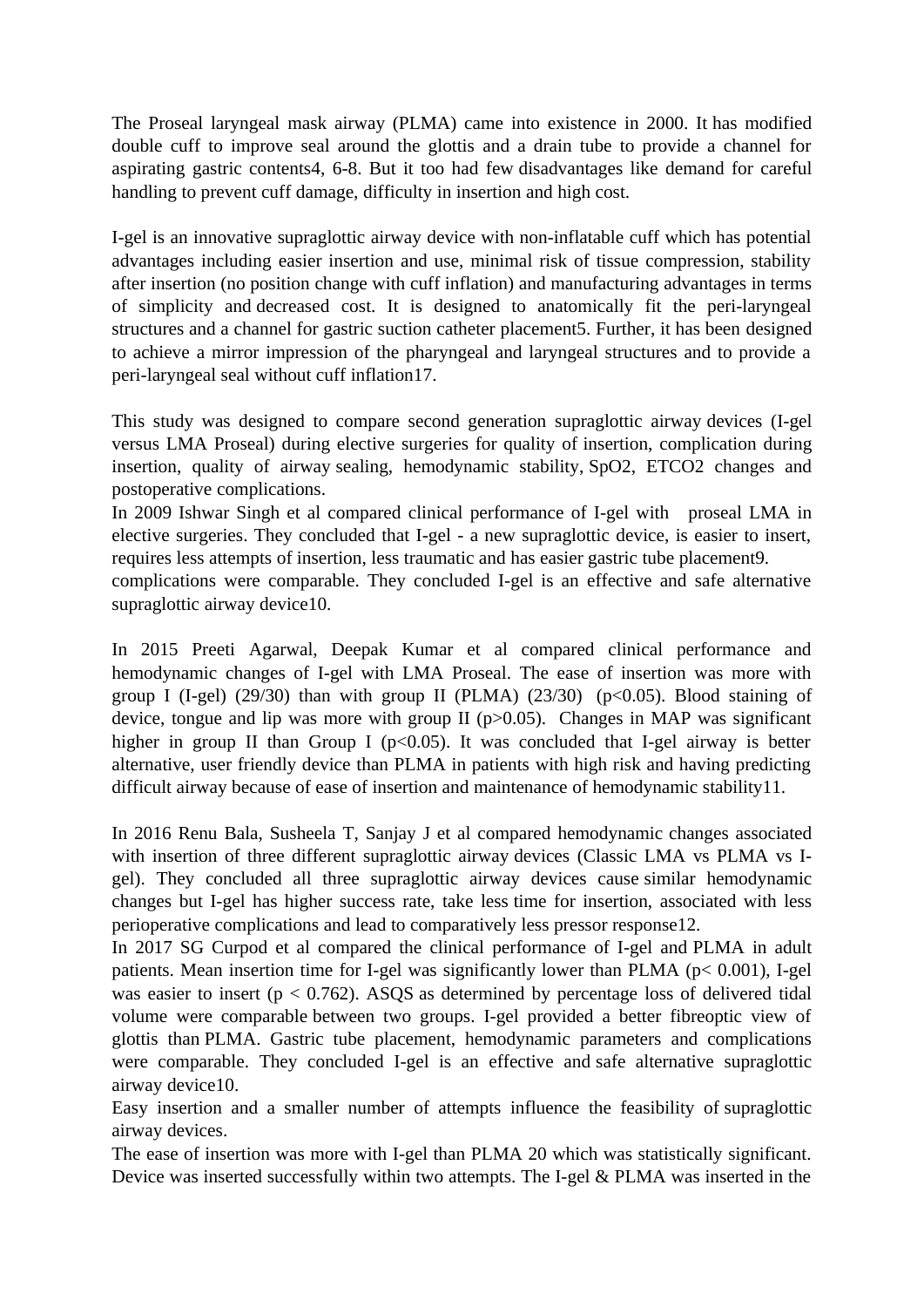The Proseal laryngeal mask airway (PLMA) came into existence in 2000. It has modified double cuff to improve seal around the glottis and a drain tube to provide a channel for aspirating gastric contents4, 6-8. But it too had few disadvantages like demand for careful handling to prevent cuff damage, difficulty in insertion and high cost.

I-gel is an innovative supraglottic airway device with non-inflatable cuff which has potential advantages including easier insertion and use, minimal risk of tissue compression, stability after insertion (no position change with cuff inflation) and manufacturing advantages in terms of simplicity and decreased cost. It is designed to anatomically fit the peri-laryngeal structures and a channel for gastric suction catheter placement5. Further, it has been designed to achieve a mirror impression of the pharyngeal and laryngeal structures and to provide a peri-laryngeal seal without cuff inflation17.

This study was designed to compare second generation supraglottic airway devices (I-gel versus LMA Proseal) during elective surgeries for quality of insertion, complication during insertion, quality of airway sealing, hemodynamic stability, SpO2, ETCO2 changes and postoperative complications.

In 2009 Ishwar Singh et al compared clinical performance of I-gel with proseal LMA in elective surgeries. They concluded that I-gel - a new supraglottic device, is easier to insert, requires less attempts of insertion, less traumatic and has easier gastric tube placement9.

complications were comparable. They concluded I-gel is an effective and safe alternative supraglottic airway device10.

In 2015 Preeti Agarwal, Deepak Kumar et al compared clinical performance and hemodynamic changes of I-gel with LMA Proseal. The ease of insertion was more with group I (I-gel) (29/30) than with group II (PLMA) (23/30) ( $p$ <0.05). Blood staining of device, tongue and lip was more with group II ( $p$  $>$ 0.05). Changes in MAP was significant higher in group II than Group I ( $p$ <0.05). It was concluded that I-gel airway is better alternative, user friendly device than PLMA in patients with high risk and having predicting difficult airway because of ease of insertion and maintenance of hemodynamic stability11.

In 2016 Renu Bala, Susheela T, Sanjay J et al compared hemodynamic changes associated with insertion of three different supraglottic airway devices (Classic LMA vs PLMA vs Igel). They concluded all three supraglottic airway devices cause similar hemodynamic changes but I-gel has higher success rate, take less time for insertion, associated with less perioperative complications and lead to comparatively less pressor response12.

In 2017 SG Curpod et al compared the clinical performance of I-gel and PLMA in adult patients. Mean insertion time for I-gel was significantly lower than PLMA (p< 0.001), I-gel was easier to insert ( $p < 0.762$ ). ASQS as determined by percentage loss of delivered tidal volume were comparable between two groups. I-gel provided a better fibreoptic view of glottis than PLMA. Gastric tube placement, hemodynamic parameters and complications were comparable. They concluded I-gel is an effective and safe alternative supraglottic airway device10.

Easy insertion and a smaller number of attempts influence the feasibility of supraglottic airway devices.

The ease of insertion was more with I-gel than PLMA 20 which was statistically significant. Device was inserted successfully within two attempts. The I-gel & PLMA was inserted in the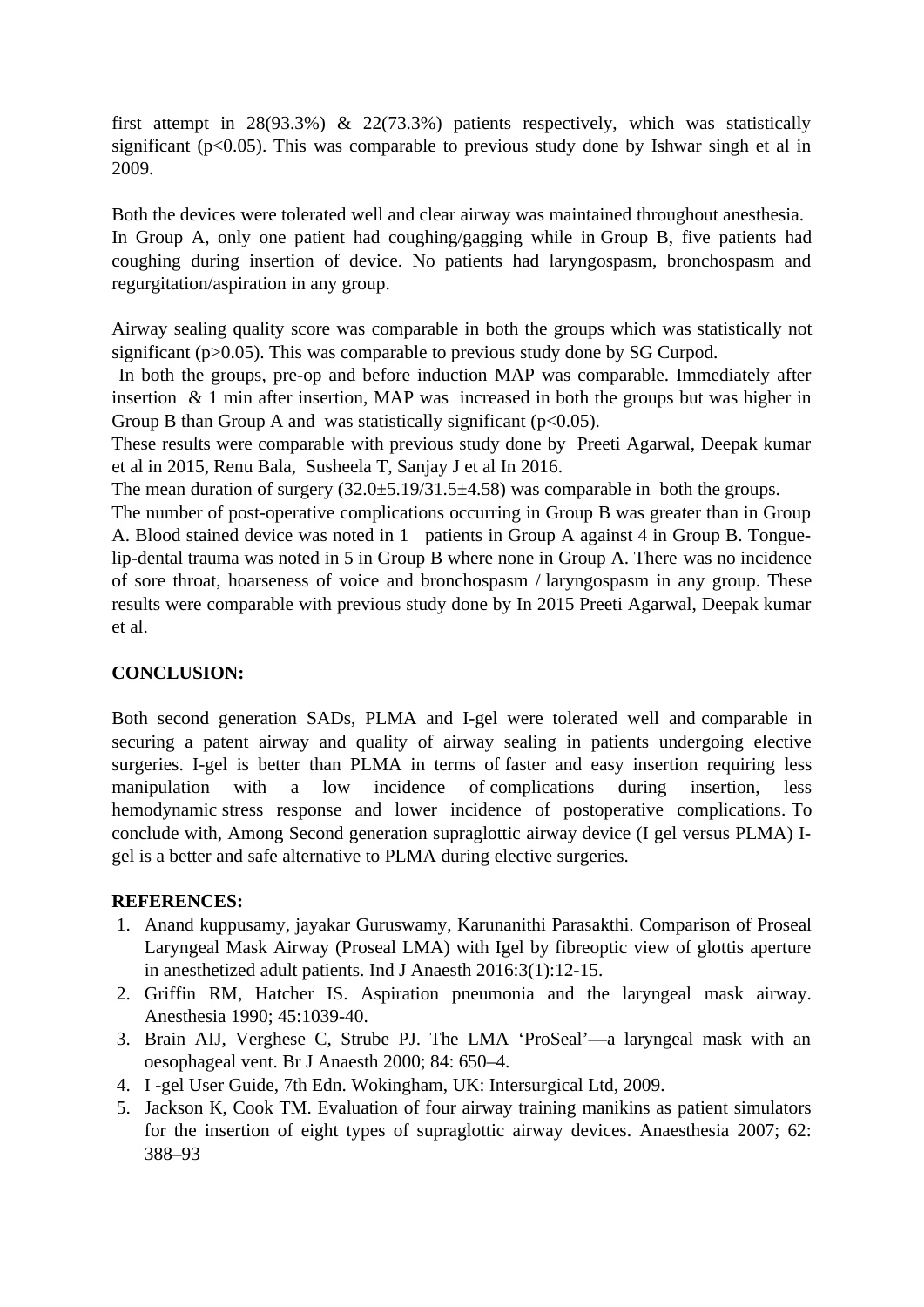first attempt in 28(93.3%) & 22(73.3%) patients respectively, which was statistically significant ( $p$ <0.05). This was comparable to previous study done by Ishwar singh et al in 2009.

Both the devices were tolerated well and clear airway was maintained throughout anesthesia. In Group A, only one patient had coughing/gagging while in Group B, five patients had coughing during insertion of device. No patients had laryngospasm, bronchospasm and regurgitation/aspiration in any group.

Airway sealing quality score was comparable in both the groups which was statistically not significant (p>0.05). This was comparable to previous study done by SG Curpod.

In both the groups, pre-op and before induction MAP was comparable. Immediately after insertion & 1 min after insertion, MAP was increased in both the groups but was higher in Group B than Group A and was statistically significant ( $p$ <0.05).

These results were comparable with previous study done by Preeti Agarwal, Deepak kumar et al in 2015, Renu Bala, Susheela T, Sanjay J et al In 2016.

The mean duration of surgery (32.0±5.19/31.5±4.58) was comparable in both the groups.

The number of post-operative complications occurring in Group B was greater than in Group A. Blood stained device was noted in 1 patients in Group A against 4 in Group B. Tonguelip-dental trauma was noted in 5 in Group B where none in Group A. There was no incidence of sore throat, hoarseness of voice and bronchospasm / laryngospasm in any group. These results were comparable with previous study done by In 2015 Preeti Agarwal, Deepak kumar et al.

# **CONCLUSION:**

Both second generation SADs, PLMA and I-gel were tolerated well and comparable in securing a patent airway and quality of airway sealing in patients undergoing elective surgeries. I-gel is better than PLMA in terms of faster and easy insertion requiring less manipulation with a low incidence of complications during insertion, less hemodynamic stress response and lower incidence of postoperative complications. To conclude with, Among Second generation supraglottic airway device (I gel versus PLMA) Igel is a better and safe alternative to PLMA during elective surgeries.

# **REFERENCES:**

- 1. Anand kuppusamy, jayakar Guruswamy, Karunanithi Parasakthi. Comparison of Proseal Laryngeal Mask Airway (Proseal LMA) with Igel by fibreoptic view of glottis aperture in anesthetized adult patients. Ind J Anaesth 2016:3(1):12-15.
- 2. Griffin RM, Hatcher IS. Aspiration pneumonia and the laryngeal mask airway. Anesthesia 1990; 45:1039-40.
- 3. Brain AIJ, Verghese C, Strube PJ. The LMA 'ProSeal'—a laryngeal mask with an oesophageal vent. Br J Anaesth 2000; 84: 650–4.
- 4. I -gel User Guide, 7th Edn. Wokingham, UK: Intersurgical Ltd, 2009.
- 5. Jackson K, Cook TM. Evaluation of four airway training manikins as patient simulators for the insertion of eight types of supraglottic airway devices. Anaesthesia 2007; 62: 388–93